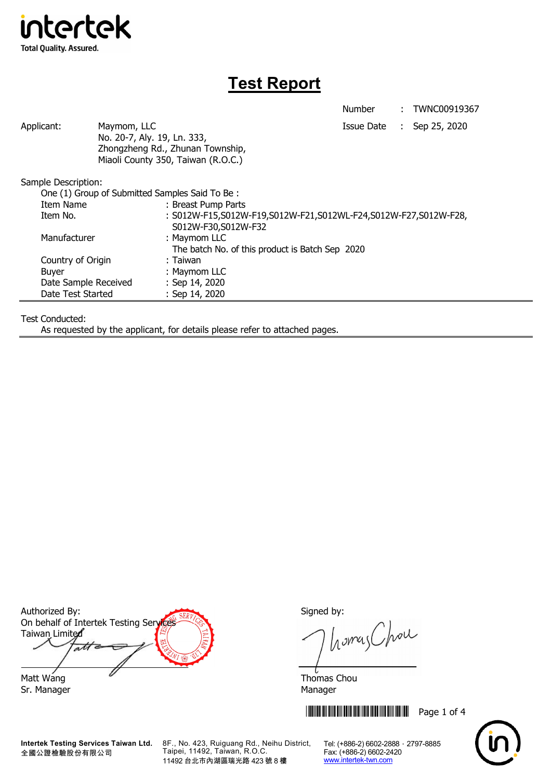

## **Test Report**

Number : TWNC00919367

| Applicant:           | Maymom, LLC<br>No. 20-7, Aly. 19, Ln. 333,     | Zhongzheng Rd., Zhunan Township,<br>Miaoli County 350, Taiwan (R.O.C.)                 | Issue Date : | Sep 25, 2020 |
|----------------------|------------------------------------------------|----------------------------------------------------------------------------------------|--------------|--------------|
| Sample Description:  |                                                |                                                                                        |              |              |
|                      | One (1) Group of Submitted Samples Said To Be: |                                                                                        |              |              |
| Item Name            |                                                | : Breast Pump Parts                                                                    |              |              |
| Item No.             |                                                | : S012W-F15,S012W-F19,S012W-F21,S012WL-F24,S012W-F27,S012W-F28,<br>S012W-F30,S012W-F32 |              |              |
| Manufacturer         |                                                | : Maymom LLC                                                                           |              |              |
|                      |                                                | The batch No. of this product is Batch Sep 2020                                        |              |              |
| Country of Origin    |                                                | : Taiwan                                                                               |              |              |
| <b>Buyer</b>         |                                                | : Maymom LLC                                                                           |              |              |
| Date Sample Received |                                                | : Sep 14, 2020                                                                         |              |              |
| Date Test Started    |                                                | : Sep 14, 2020                                                                         |              |              |
|                      |                                                |                                                                                        |              |              |

Test Conducted:

As requested by the applicant, for details please refer to attached pages.

Authorized By: Signed by: On behalf of Intertek Testing Services Taiwan Limited  $\overline{ab}$ Matt Wang  $\sim$  Thomas Chou

Sr. Manager Manager Manager Manager Manager

全國公證檢驗股份有限公司

**Intertek Testing Services Taiwan Ltd.** 8F., No. 423, Ruiguang Rd., Neihu District, Taipei, 11492, Taiwan, R.O.C. 11492 台北市內湖區瑞光路 423 號 8 樓

homas Chou

**THEFT REFERENCE IN THE FULL SET OF 4** 

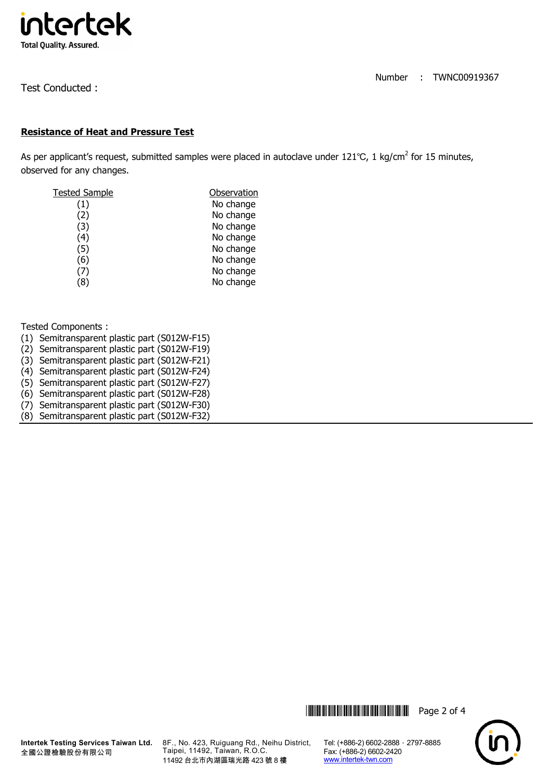

Test Conducted :

## **Resistance of Heat and Pressure Test**

As per applicant's request, submitted samples were placed in autoclave under 121℃, 1 kg/cm<sup>2</sup> for 15 minutes, observed for any changes.

| Tested Sample       | Observation |  |  |
|---------------------|-------------|--|--|
| $\scriptstyle{(1)}$ | No change   |  |  |
| (2)                 | No change   |  |  |
| (3)                 | No change   |  |  |
| (4)                 | No change   |  |  |
| (5)                 | No change   |  |  |
| (6)                 | No change   |  |  |
| (7, 7)              | No change   |  |  |
| (8)                 | No change   |  |  |

Tested Components :

- (1) Semitransparent plastic part (S012W-F15)
- (2) Semitransparent plastic part (S012W-F19)
- (3) Semitransparent plastic part (S012W-F21)
- (4) Semitransparent plastic part (S012W-F24)
- (5) Semitransparent plastic part (S012W-F27)
- (6) Semitransparent plastic part (S012W-F28)
- (7) Semitransparent plastic part (S012W-F30)



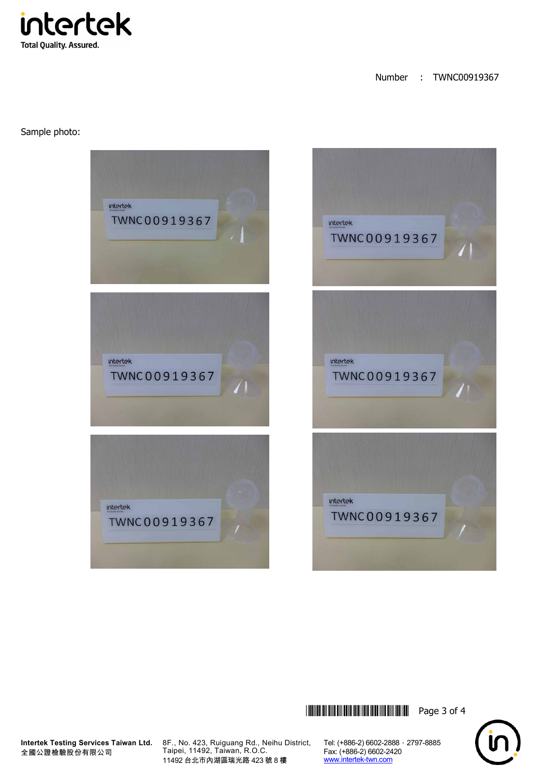intertek **Total Quality. Assured.** 

Number : TWNC00919367

Sample photo:







**Intertek Testing Services Taiwan Ltd.** 全國公證檢驗股份有限公司

8F., No. 423, Ruiguang Rd., Neihu District, Taipei, 11492, Taiwan, R.O.C. 11492 台北市內湖區瑞光路 423 號 8 樓